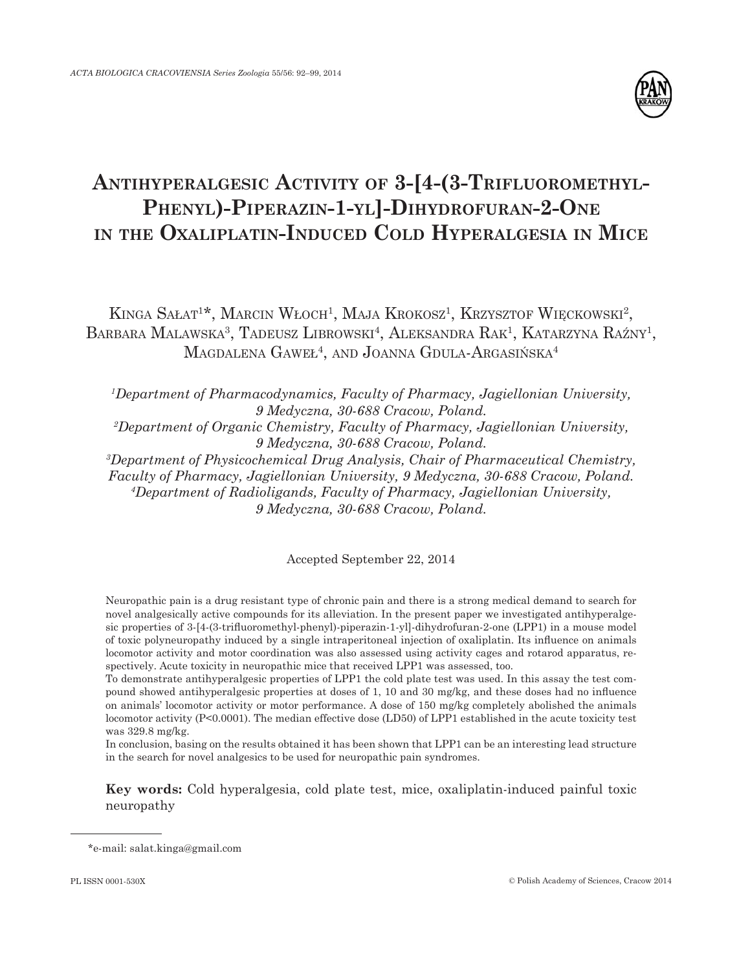

# **ANTIHYPERALGESIC ACTIVITY OF 3-[4-(3-TRIFLUOROMETHYL-PHENYL)-PIPERAZIN-1-YL]-DIHYDROFURAN-2-ONE IN THE OXALIPLATIN-INDUCED COLD HYPERALGESIA IN MICE**

KINGA SAŁAT<sup>1\*</sup>, MARCIN WŁOCH<sup>1</sup>, MAJA KROKOSZ<sup>1</sup>, KRZYSZTOF WIĘCKOWSKI<sup>2</sup>, BARBARA MALAWSKA<sup>3</sup>, TADEUSZ LIBROWSKI<sup>4</sup>, ALEKSANDRA RAK<sup>1</sup>, KATARZYNA RAŹNY<sup>1</sup>, MAGDALENA GAWEŁ<sup>4</sup> , AND JOANNA GDULA-ARGASIŃSKA4

*1 Department of Pharmacodynamics, Faculty of Pharmacy, Jagiellonian University, 9 Medyczna, 30-688 Cracow, Poland. 2 Department of Organic Chemistry, Faculty of Pharmacy, Jagiellonian University, 9 Medyczna, 30-688 Cracow, Poland. 3 Department of Physicochemical Drug Analysis, Chair of Pharmaceutical Chemistry, Faculty of Pharmacy, Jagiellonian University, 9 Medyczna, 30-688 Cracow, Poland. 4 Department of Radioligands, Faculty of Pharmacy, Jagiellonian University,*

*9 Medyczna, 30-688 Cracow, Poland.*

Accepted September 22, 2014

Neuropathic pain is a drug resistant type of chronic pain and there is a strong medical demand to search for novel analgesically active compounds for its alleviation. In the present paper we investigated antihyperalgesic properties of 3-[4-(3-trifluoromethyl-phenyl)-piperazin-1-yl]-dihydrofuran-2-one (LPP1) in a mouse model of toxic polyneuropathy induced by a single intraperitoneal injection of oxaliplatin. Its influence on animals locomotor activity and motor coordination was also assessed using activity cages and rotarod apparatus, respectively. Acute toxicity in neuropathic mice that received LPP1 was assessed, too.

To demonstrate antihyperalgesic properties of LPP1 the cold plate test was used. In this assay the test compound showed antihyperalgesic properties at doses of 1, 10 and 30 mg/kg, and these doses had no influence on animals' locomotor activity or motor performance. A dose of 150 mg/kg completely abolished the animals locomotor activity (P<0.0001). The median effective dose (LD50) of LPP1 established in the acute toxicity test was 329.8 mg/kg.

In conclusion, basing on the results obtained it has been shown that LPP1 can be an interesting lead structure in the search for novel analgesics to be used for neuropathic pain syndromes.

**Key words:** Cold hyperalgesia, cold plate test, mice, oxaliplatin-induced painful toxic neuropathy

<sup>\*</sup>e-mail: salat.kinga@gmail.com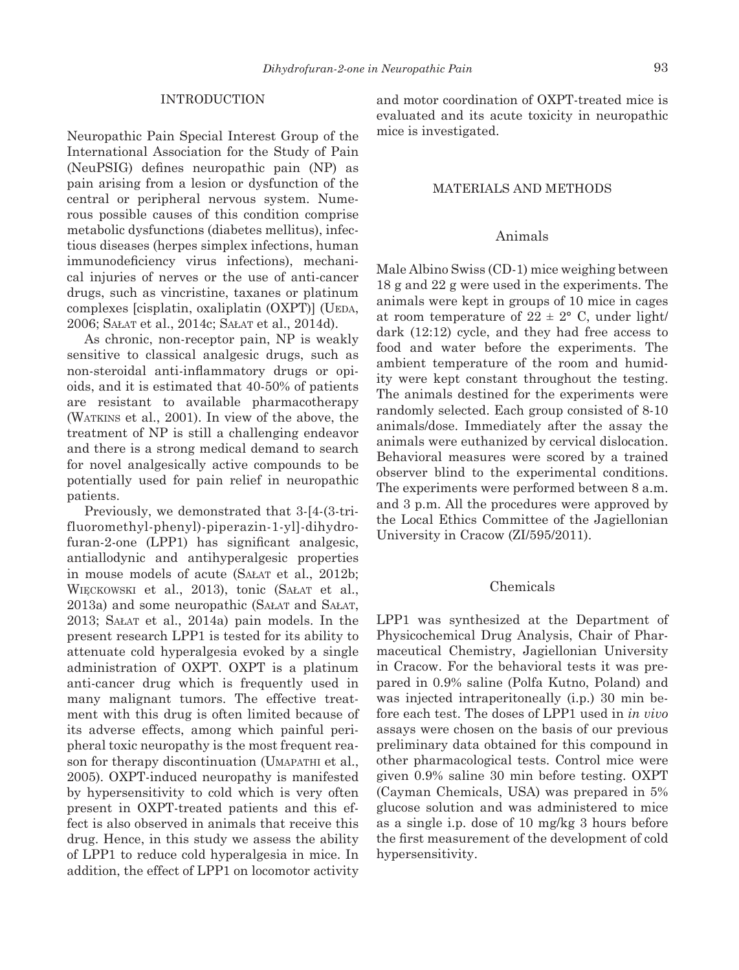#### INTRODUCTION

Neuropathic Pain Special Interest Group of the International Association for the Study of Pain (NeuPSIG) defines neuropathic pain (NP) as pain arising from a lesion or dysfunction of the central or peripheral nervous system. Numerous possible causes of this condition comprise metabolic dysfunctions (diabetes mellitus), infectious diseases (herpes simplex infections, human immunodeficiency virus infections), mechanical injuries of nerves or the use of anti-cancer drugs, such as vincristine, taxanes or platinum complexes [cisplatin, oxaliplatin (OXPT)] (UEDA, 2006; SAŁAT et al., 2014c; SAŁAT et al., 2014d).

As chronic, non-receptor pain, NP is weakly sensitive to classical analgesic drugs, such as non-steroidal anti-inflammatory drugs or opioids, and it is estimated that 40-50% of patients are resistant to available pharmacotherapy (WATKINS et al., 2001). In view of the above, the treatment of NP is still a challenging endeavor and there is a strong medical demand to search for novel analgesically active compounds to be potentially used for pain relief in neuropathic patients.

Previously, we demonstrated that 3-[4-(3-trifluoromethyl-phenyl)-piperazin-1-yl]-dihydrofuran-2-one  $(LPP1)$  has significant analgesic, antiallodynic and antihyperalgesic properties in mouse models of acute (SAŁAT et al., 2012b; WIĘCKOWSKI et al., 2013), tonic (SAŁAT et al., 2013a) and some neuropathic (SAŁAT and SAŁAT, 2013; SAŁAT et al., 2014a) pain models. In the present research LPP1 is tested for its ability to attenuate cold hyperalgesia evoked by a single administration of OXPT. OXPT is a platinum anti-cancer drug which is frequently used in many malignant tumors. The effective treatment with this drug is often limited because of its adverse effects, among which painful peripheral toxic neuropathy is the most frequent reason for therapy discontinuation (UMAPATHI et al., 2005). OXPT-induced neuropathy is manifested by hypersensitivity to cold which is very often present in OXPT-treated patients and this effect is also observed in animals that receive this drug. Hence, in this study we assess the ability of LPP1 to reduce cold hyperalgesia in mice. In addition, the effect of LPP1 on locomotor activity

and motor coordination of OXPT-treated mice is evaluated and its acute toxicity in neuropathic mice is investigated.

## MATERIALS AND METHODS

# Animals

Male Albino Swiss (CD-1) mice weighing between 18 g and 22 g were used in the experiments. The animals were kept in groups of 10 mice in cages at room temperature of  $22 \pm 2^{\circ}$  C, under light/ dark (12:12) cycle, and they had free access to food and water before the experiments. The ambient temperature of the room and humidity were kept constant throughout the testing. The animals destined for the experiments were randomly selected. Each group consisted of 8-10 animals/dose. Immediately after the assay the animals were euthanized by cervical dislocation. Behavioral measures were scored by a trained observer blind to the experimental conditions. The experiments were performed between 8 a.m. and 3 p.m. All the procedures were approved by the Local Ethics Committee of the Jagiellonian University in Cracow (ZI/595/2011).

## Chemicals

LPP1 was synthesized at the Department of Physicochemical Drug Analysis, Chair of Pharmaceutical Chemistry, Jagiellonian University in Cracow. For the behavioral tests it was prepared in 0.9% saline (Polfa Kutno, Poland) and was injected intraperitoneally (i.p.) 30 min before each test. The doses of LPP1 used in *in vivo* assays were chosen on the basis of our previous preliminary data obtained for this compound in other pharmacological tests. Control mice were given 0.9% saline 30 min before testing. OXPT (Cayman Chemicals, USA) was prepared in 5% glucose solution and was administered to mice as a single i.p. dose of 10 mg/kg 3 hours before the first measurement of the development of cold hypersensitivity.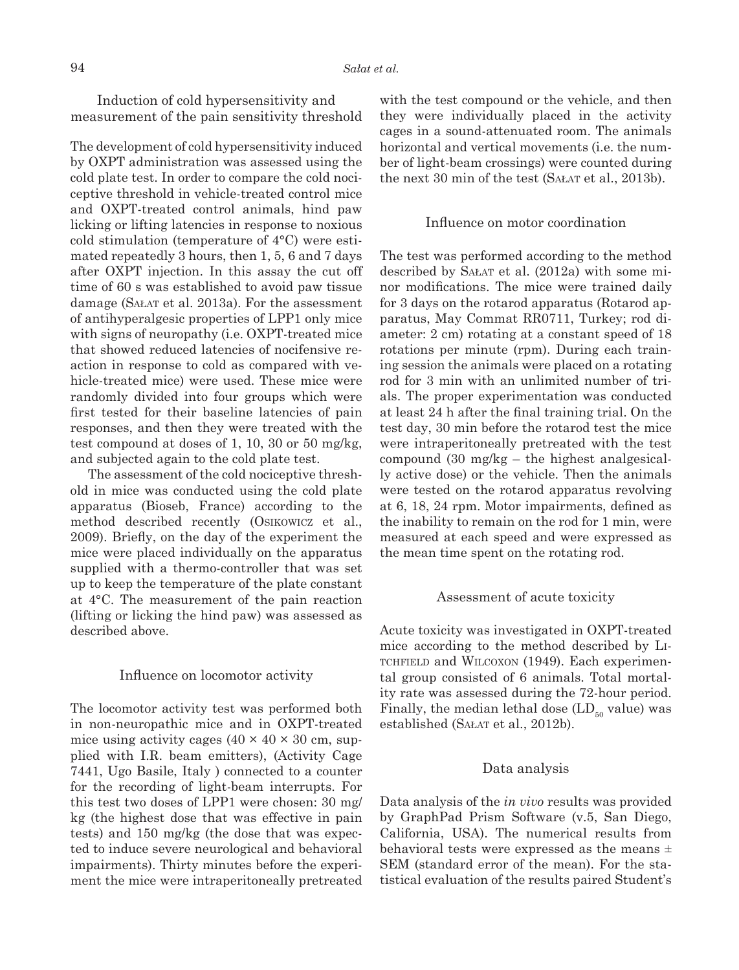Induction of cold hypersensitivity and measurement of the pain sensitivity threshold

The development of cold hypersensitivity induced by OXPT administration was assessed using the cold plate test. In order to compare the cold nociceptive threshold in vehicle-treated control mice and OXPT-treated control animals, hind paw licking or lifting latencies in response to noxious cold stimulation (temperature of 4°C) were estimated repeatedly 3 hours, then 1, 5, 6 and 7 days after OXPT injection. In this assay the cut off time of 60 s was established to avoid paw tissue damage (SAŁAT et al. 2013a). For the assessment of antihyperalgesic properties of LPP1 only mice with signs of neuropathy (i.e. OXPT-treated mice that showed reduced latencies of nocifensive reaction in response to cold as compared with vehicle-treated mice) were used. These mice were randomly divided into four groups which were first tested for their baseline latencies of pain responses, and then they were treated with the test compound at doses of 1, 10, 30 or 50 mg/kg, and subjected again to the cold plate test.

The assessment of the cold nociceptive threshold in mice was conducted using the cold plate apparatus (Bioseb, France) according to the method described recently (OSIKOWICZ et al., 2009). Briefly, on the day of the experiment the mice were placed individually on the apparatus supplied with a thermo-controller that was set up to keep the temperature of the plate constant at 4°C. The measurement of the pain reaction (lifting or licking the hind paw) was assessed as described above.

#### Influence on locomotor activity

The locomotor activity test was performed both in non-neuropathic mice and in OXPT-treated mice using activity cages  $(40 \times 40 \times 30 \text{ cm}, \text{ sup-}$ plied with I.R. beam emitters), (Activity Cage 7441, Ugo Basile, Italy ) connected to a counter for the recording of light-beam interrupts. For this test two doses of LPP1 were chosen: 30 mg/ kg (the highest dose that was effective in pain tests) and 150 mg/kg (the dose that was expected to induce severe neurological and behavioral impairments). Thirty minutes before the experiment the mice were intraperitoneally pretreated

with the test compound or the vehicle, and then they were individually placed in the activity cages in a sound-attenuated room. The animals horizontal and vertical movements (i.e. the number of light-beam crossings) were counted during the next 30 min of the test (SAŁAT et al., 2013b).

### Influence on motor coordination

The test was performed according to the method described by SAŁAT et al. (2012a) with some minor modifications. The mice were trained daily for 3 days on the rotarod apparatus (Rotarod apparatus, May Commat RR0711, Turkey; rod diameter: 2 cm) rotating at a constant speed of 18 rotations per minute (rpm). During each training session the animals were placed on a rotating rod for 3 min with an unlimited number of trials. The proper experimentation was conducted at least 24 h after the final training trial. On the test day, 30 min before the rotarod test the mice were intraperitoneally pretreated with the test compound (30 mg/kg – the highest analgesically active dose) or the vehicle. Then the animals were tested on the rotarod apparatus revolving at 6, 18, 24 rpm. Motor impairments, defined as the inability to remain on the rod for 1 min, were measured at each speed and were expressed as the mean time spent on the rotating rod.

#### Assessment of acute toxicity

Acute toxicity was investigated in OXPT-treated mice according to the method described by LI-TCHFIELD and WILCOXON (1949). Each experimental group consisted of 6 animals. Total mortality rate was assessed during the 72-hour period. Finally, the median lethal dose  $(LD_{\epsilon_0}$  value) was established (SAŁAT et al., 2012b).

### Data analysis

Data analysis of the *in vivo* results was provided by GraphPad Prism Software (v.5, San Diego, California, USA). The numerical results from behavioral tests were expressed as the means ± SEM (standard error of the mean). For the statistical evaluation of the results paired Student's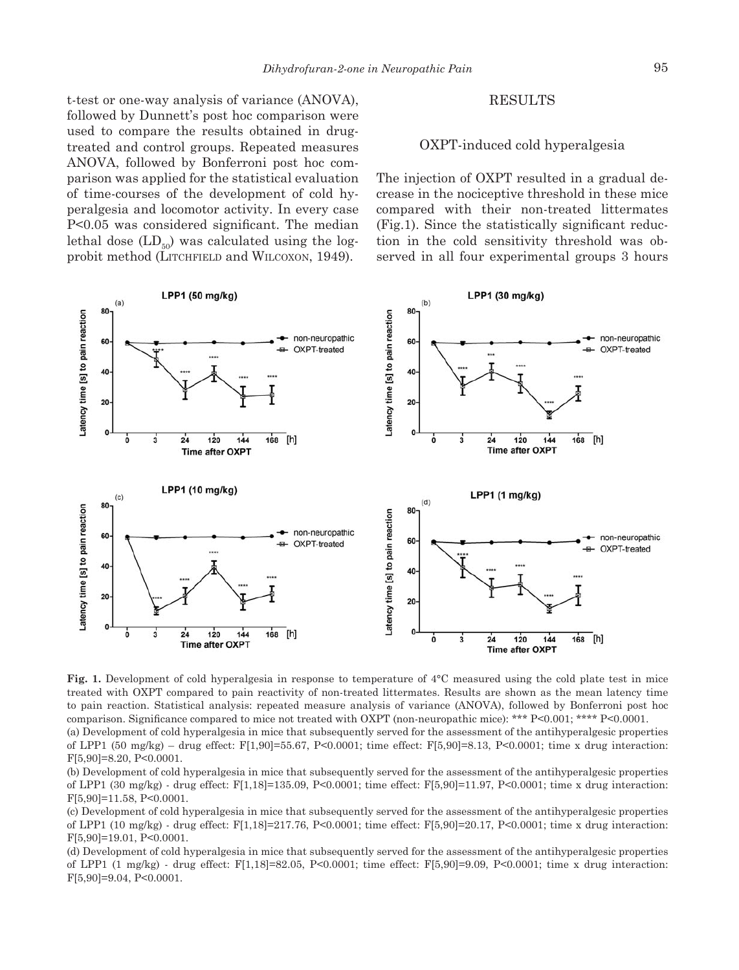t-test or one-way analysis of variance (ANOVA), followed by Dunnett's post hoc comparison were used to compare the results obtained in drugtreated and control groups. Repeated measures ANOVA, followed by Bonferroni post hoc comparison was applied for the statistical evaluation of time-courses of the development of cold hyperalgesia and locomotor activity. In every case  $P<0.05$  was considered significant. The median lethal dose  $(LD_{50})$  was calculated using the logprobit method (LITCHFIELD and WILCOXON, 1949).

## **RESULTS**

# OXPT-induced cold hyperalgesia

The injection of OXPT resulted in a gradual decrease in the nociceptive threshold in these mice compared with their non-treated littermates  $(Fig.1)$ . Since the statistically significant reduction in the cold sensitivity threshold was observed in all four experimental groups 3 hours



**Fig. 1.** Development of cold hyperalgesia in response to temperature of 4°C measured using the cold plate test in mice treated with OXPT compared to pain reactivity of non-treated littermates. Results are shown as the mean latency time to pain reaction. Statistical analysis: repeated measure analysis of variance (ANOVA), followed by Bonferroni post hoc comparison. Significance compared to mice not treated with OXPT (non-neuropathic mice): \*\*\*  $P<0.001$ ; \*\*\*\*  $P<0.0001$ .

(a) Development of cold hyperalgesia in mice that subsequently served for the assessment of the antihyperalgesic properties of LPP1 (50 mg/kg) – drug effect: F[1,90]=55.67, P<0.0001; time effect: F[5,90]=8.13, P<0.0001; time x drug interaction: F[5,90]=8.20, P<0.0001.

(b) Development of cold hyperalgesia in mice that subsequently served for the assessment of the antihyperalgesic properties of LPP1 (30 mg/kg) - drug effect: F[1,18]=135.09, P<0.0001; time effect: F[5,90]=11.97, P<0.0001; time x drug interaction: F[5,90]=11.58, P<0.0001.

(c) Development of cold hyperalgesia in mice that subsequently served for the assessment of the antihyperalgesic properties of LPP1 (10 mg/kg) - drug effect: F[1,18]=217.76, P<0.0001; time effect: F[5,90]=20.17, P<0.0001; time x drug interaction: F[5,90]=19.01, P<0.0001.

(d) Development of cold hyperalgesia in mice that subsequently served for the assessment of the antihyperalgesic properties of LPP1 (1 mg/kg) - drug effect: F[1,18]=82.05, P<0.0001; time effect: F[5,90]=9.09, P<0.0001; time x drug interaction: F[5,90]=9.04, P<0.0001.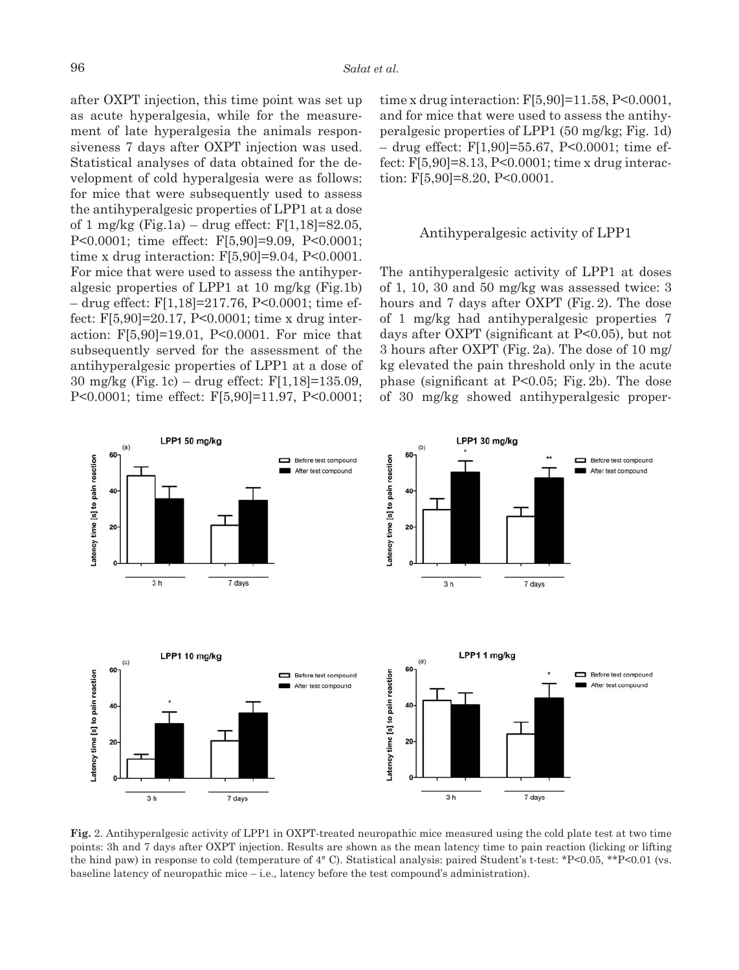after OXPT injection, this time point was set up as acute hyperalgesia, while for the measurement of late hyperalgesia the animals responsiveness 7 days after OXPT injection was used. Statistical analyses of data obtained for the development of cold hyperalgesia were as follows: for mice that were subsequently used to assess the antihyperalgesic properties of LPP1 at a dose of 1 mg/kg (Fig.1a) – drug effect: F[1,18]=82.05, P<0.0001; time effect: F[5,90]=9.09, P<0.0001; time x drug interaction: F[5,90]=9.04, P<0.0001. For mice that were used to assess the antihyperalgesic properties of LPP1 at 10 mg/kg (Fig.1b) – drug effect: F[1,18]=217.76, P<0.0001; time effect: F[5,90]=20.17, P<0.0001; time x drug interaction: F[5,90]=19.01, P<0.0001. For mice that subsequently served for the assessment of the antihyperalgesic properties of LPP1 at a dose of 30 mg/kg (Fig. 1c) – drug effect: F[1,18]=135.09, P<0.0001; time effect: F[5,90]=11.97, P<0.0001;

time x drug interaction: F[5,90]=11.58, P<0.0001, and for mice that were used to assess the antihyperalgesic properties of LPP1 (50 mg/kg; Fig. 1d) – drug effect: F[1,90]=55.67, P<0.0001; time effect: F[5,90]=8.13, P<0.0001; time x drug interaction: F[5,90]=8.20, P<0.0001.

## Antihyperalgesic activity of LPP1

The antihyperalgesic activity of LPP1 at doses of 1, 10, 30 and 50 mg/kg was assessed twice: 3 hours and 7 days after OXPT (Fig. 2). The dose of 1 mg/kg had antihyperalgesic properties 7 days after OXPT (significant at  $P<0.05$ ), but not 3 hours after OXPT (Fig. 2a). The dose of 10 mg/ kg elevated the pain threshold only in the acute phase (significant at  $P<0.05$ ; Fig. 2b). The dose of 30 mg/kg showed antihyperalgesic proper-



**Fig.** 2. Antihyperalgesic activity of LPP1 in OXPT-treated neuropathic mice measured using the cold plate test at two time points: 3h and 7 days after OXPT injection. Results are shown as the mean latency time to pain reaction (licking or lifting the hind paw) in response to cold (temperature of 4° C). Statistical analysis: paired Student's t-test: \*P<0.05, \*\*P<0.01 (vs. baseline latency of neuropathic mice – i.e., latency before the test compound's administration).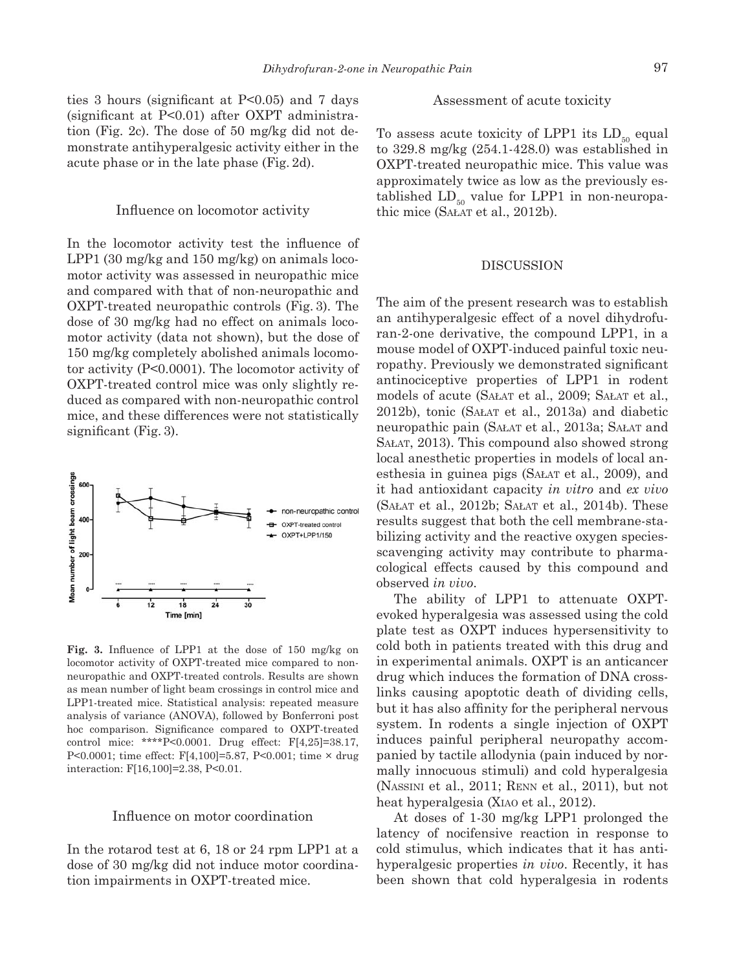ties 3 hours (significant at  $P<0.05$ ) and 7 days  $(significant at P<0.01)$  after OXPT administration (Fig. 2c). The dose of 50 mg/kg did not demonstrate antihyperalgesic activity either in the acute phase or in the late phase (Fig. 2d).

## Influence on locomotor activity

In the locomotor activity test the influence of LPP1 (30 mg/kg and 150 mg/kg) on animals locomotor activity was assessed in neuropathic mice and compared with that of non-neuropathic and OXPT-treated neuropathic controls (Fig. 3). The dose of 30 mg/kg had no effect on animals locomotor activity (data not shown), but the dose of 150 mg/kg completely abolished animals locomotor activity (P<0.0001). The locomotor activity of OXPT-treated control mice was only slightly reduced as compared with non-neuropathic control mice, and these differences were not statistically significant (Fig. 3).



Fig. 3. Influence of LPP1 at the dose of 150 mg/kg on locomotor activity of OXPT-treated mice compared to nonneuropathic and OXPT-treated controls. Results are shown as mean number of light beam crossings in control mice and LPP1-treated mice. Statistical analysis: repeated measure analysis of variance (ANOVA), followed by Bonferroni post hoc comparison. Significance compared to OXPT-treated control mice: \*\*\*\*P<0.0001. Drug effect: F[4,25]=38.17, P<0.0001; time effect: F[4,100]=5.87, P<0.001; time × drug interaction: F[16,100]=2.38, P<0.01.

## Influence on motor coordination

In the rotarod test at 6, 18 or 24 rpm LPP1 at a dose of 30 mg/kg did not induce motor coordination impairments in OXPT-treated mice.

## Assessment of acute toxicity

To assess acute toxicity of LPP1 its  $LD_{50}$  equal to 329.8 mg/kg (254.1-428.0) was established in OXPT-treated neuropathic mice. This value was approximately twice as low as the previously established  $LD_{50}$  value for LPP1 in non-neuropathic mice (SAŁAT et al., 2012b).

#### **DISCUSSION**

The aim of the present research was to establish an antihyperalgesic effect of a novel dihydrofuran-2-one derivative, the compound LPP1, in a mouse model of OXPT-induced painful toxic neuropathy. Previously we demonstrated significant antinociceptive properties of LPP1 in rodent models of acute (SAŁAT et al., 2009; SAŁAT et al., 2012b), tonic (SAŁAT et al., 2013a) and diabetic neuropathic pain (SAŁAT et al., 2013a; SAŁAT and SAŁAT, 2013). This compound also showed strong local anesthetic properties in models of local anesthesia in guinea pigs (SAŁAT et al., 2009), and it had antioxidant capacity *in vitro* and *ex vivo*  (SAŁAT et al., 2012b; SAŁAT et al., 2014b). These results suggest that both the cell membrane-stabilizing activity and the reactive oxygen speciesscavenging activity may contribute to pharmacological effects caused by this compound and observed *in vivo*.

The ability of LPP1 to attenuate OXPTevoked hyperalgesia was assessed using the cold plate test as OXPT induces hypersensitivity to cold both in patients treated with this drug and in experimental animals. OXPT is an anticancer drug which induces the formation of DNA crosslinks causing apoptotic death of dividing cells, but it has also affinity for the peripheral nervous system. In rodents a single injection of OXPT induces painful peripheral neuropathy accompanied by tactile allodynia (pain induced by normally innocuous stimuli) and cold hyperalgesia (NASSINI et al., 2011; RENN et al., 2011), but not heat hyperalgesia (XIAO et al., 2012).

At doses of 1-30 mg/kg LPP1 prolonged the latency of nocifensive reaction in response to cold stimulus, which indicates that it has antihyperalgesic properties *in vivo*. Recently, it has been shown that cold hyperalgesia in rodents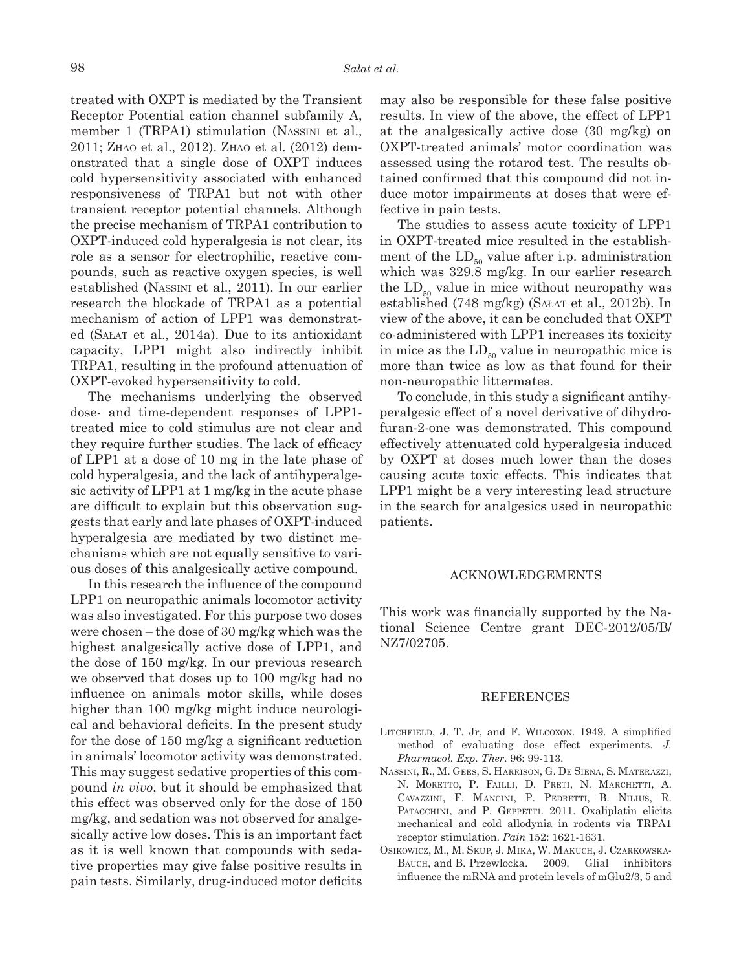treated with OXPT is mediated by the Transient Receptor Potential cation channel subfamily A, member 1 (TRPA1) stimulation (NASSINI et al., 2011; ZHAO et al., 2012). ZHAO et al. (2012) demonstrated that a single dose of OXPT induces cold hypersensitivity associated with enhanced responsiveness of TRPA1 but not with other transient receptor potential channels. Although the precise mechanism of TRPA1 contribution to OXPT-induced cold hyperalgesia is not clear, its role as a sensor for electrophilic, reactive compounds, such as reactive oxygen species, is well established (NASSINI et al., 2011). In our earlier research the blockade of TRPA1 as a potential mechanism of action of LPP1 was demonstrated (SAŁAT et al., 2014a). Due to its antioxidant capacity, LPP1 might also indirectly inhibit TRPA1, resulting in the profound attenuation of OXPT-evoked hypersensitivity to cold.

The mechanisms underlying the observed dose- and time-dependent responses of LPP1 treated mice to cold stimulus are not clear and they require further studies. The lack of efficacy of LPP1 at a dose of 10 mg in the late phase of cold hyperalgesia, and the lack of antihyperalgesic activity of LPP1 at 1 mg/kg in the acute phase are difficult to explain but this observation suggests that early and late phases of OXPT-induced hyperalgesia are mediated by two distinct mechanisms which are not equally sensitive to various doses of this analgesically active compound.

In this research the influence of the compound LPP1 on neuropathic animals locomotor activity was also investigated. For this purpose two doses were chosen – the dose of 30 mg/kg which was the highest analgesically active dose of LPP1, and the dose of 150 mg/kg. In our previous research we observed that doses up to 100 mg/kg had no influence on animals motor skills, while doses higher than 100 mg/kg might induce neurological and behavioral deficits. In the present study for the dose of 150 mg/kg a significant reduction in animals' locomotor activity was demonstrated. This may suggest sedative properties of this compound *in vivo*, but it should be emphasized that this effect was observed only for the dose of 150 mg/kg, and sedation was not observed for analgesically active low doses. This is an important fact as it is well known that compounds with sedative properties may give false positive results in pain tests. Similarly, drug-induced motor deficits

may also be responsible for these false positive results. In view of the above, the effect of LPP1 at the analgesically active dose (30 mg/kg) on OXPT-treated animals' motor coordination was assessed using the rotarod test. The results obtained confirmed that this compound did not induce motor impairments at doses that were effective in pain tests.

The studies to assess acute toxicity of LPP1 in OXPT-treated mice resulted in the establishment of the  $LD_{50}$  value after i.p. administration which was 329.8 mg/kg. In our earlier research the  $LD_{50}$  value in mice without neuropathy was established (748 mg/kg) (SAŁAT et al., 2012b). In view of the above, it can be concluded that OXPT co-administered with LPP1 increases its toxicity in mice as the  $LD_{50}$  value in neuropathic mice is more than twice as low as that found for their non-neuropathic littermates.

To conclude, in this study a significant antihyperalgesic effect of a novel derivative of dihydrofuran-2-one was demonstrated. This compound effectively attenuated cold hyperalgesia induced by OXPT at doses much lower than the doses causing acute toxic effects. This indicates that LPP1 might be a very interesting lead structure in the search for analgesics used in neuropathic patients.

#### ACKNOWLEDGEMENTS

This work was financially supported by the National Science Centre grant DEC-2012/05/B/ NZ7/02705.

#### REFERENCES

- LITCHFIELD, J. T. Jr, and F. WILCOXON. 1949. A simplified method of evaluating dose effect experiments. *J. Pharmacol. Exp. Ther*. 96: 99-113.
- NASSINI, R., M. GEES, S. HARRISON, G. DE SIENA, S. MATERAZZI, N. MORETTO, P. FAILLI, D. PRETI, N. MARCHETTI, A. CAVAZZINI, F. MANCINI, P. PEDRETTI, B. NILIUS, R. PATACCHINI, and P. GEPPETTI. 2011. Oxaliplatin elicits mechanical and cold allodynia in rodents via TRPA1 receptor stimulation. *Pain* 152: 1621-1631.
- OSIKOWICZ, M., M. SKUP, J. MIKA, W. MAKUCH, J. CZARKOWSKA-BAUCH, and B. Przewlocka. 2009. Glial inhibitors influence the mRNA and protein levels of mGlu $2/3$ , 5 and